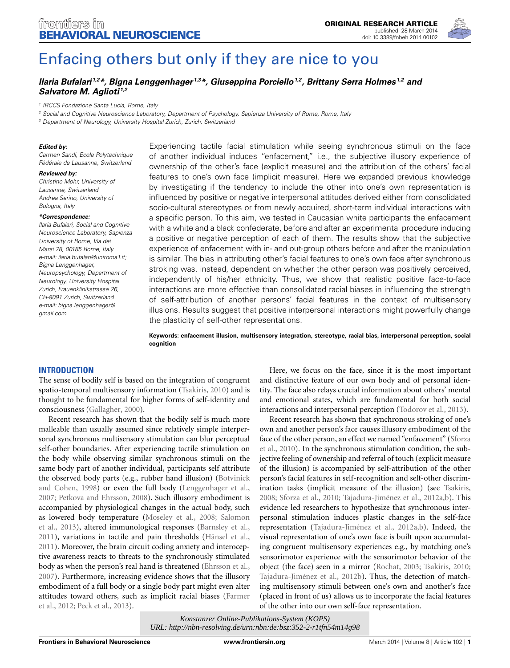

# [Enfacing others but only if they are nice to you](http://www.frontiersin.org/journal/10.3389/fnbeh.2014.00102/abstract)

# *[Ilaria Bufalari](http://community.frontiersin.org/people/u/69280) 1,2\*, Bigna [Lenggenhager](http://community.frontiersin.org/people/u/86921) 1,3\*, [Giuseppina](http://community.frontiersin.org/people/u/127593) Porciello1,2, [Brittany Serra Holmes](http://community.frontiersin.org/people/u/143604) 1,2 and [Salvatore M. Aglioti](http://community.frontiersin.org/people/u/1062) 1,2*

1 IRCCS Fondazione Santa Lucia, Rome, Italy

<sup>2</sup> Social and Cognitive Neuroscience Laboratory, Department of Psychology, Sapienza University of Rome, Rome, Italy

<sup>3</sup> Department of Neurology, University Hospital Zurich, Zurich, Switzerland

#### *Edited by:*

Carmen Sandi, Ecole Polytechnique Fédérale de Lausanne, Switzerland

#### *Reviewed by:*

Christine Mohr, University of Lausanne, Switzerland Andrea Serino, University of Bologna, Italy

#### *\*Correspondence:*

Ilaria Bufalari, Social and Cognitive Neuroscience Laboratory, Sapienza University of Rome, Via dei Marsi 78, 00185 Rome, Italy e-mail: ilaria.bufalari@uniroma1.it; Bigna Lenggenhager, Neuropsychology, Department of Neurology, University Hospital Zurich, Frauenklinikstrasse 26, CH-8091 Zurich, Switzerland e-mail: [bigna.lenggenhager@](mailto:bigna.lenggenhager@gmail.com) [gmail.com](mailto:bigna.lenggenhager@gmail.com)

Experiencing tactile facial stimulation while seeing synchronous stimuli on the face of another individual induces "enfacement," i.e., the subjective illusory experience of ownership of the other's face (explicit measure) and the attribution of the others' facial features to one's own face (implicit measure). Here we expanded previous knowledge by investigating if the tendency to include the other into one's own representation is influenced by positive or negative interpersonal attitudes derived either from consolidated socio-cultural stereotypes or from newly acquired, short-term individual interactions with a specific person. To this aim, we tested in Caucasian white participants the enfacement with a white and a black confederate, before and after an experimental procedure inducing a positive or negative perception of each of them. The results show that the subjective experience of enfacement with in- and out-group others before and after the manipulation is similar. The bias in attributing other's facial features to one's own face after synchronous stroking was, instead, dependent on whether the other person was positively perceived, independently of his/her ethnicity. Thus, we show that realistic positive face-to-face interactions are more effective than consolidated racial biases in influencing the strength of self-attribution of another persons' facial features in the context of multisensory illusions. Results suggest that positive interpersonal interactions might powerfully change the plasticity of self-other representations.

**Keywords: enfacement illusion, multisensory integration, stereotype, racial bias, interpersonal perception, social cognition**

## **INTRODUCTION**

The sense of bodily self is based on the integration of congruent spatio-temporal multisensory information [\(Tsakiris](#page-11-0), [2010\)](#page-11-0) and is thought to be fundamental for higher forms of self-identity and consciousness [\(Gallagher, 2000](#page-10-0)).

Recent research has shown that the bodily self is much more malleable than usually assumed since relatively simple interpersonal synchronous multisensory stimulation can blur perceptual self-other boundaries. After experiencing tactile stimulation on the body while observing similar synchronous stimuli on the same body part of another individual, participants self attribute the observed body parts (e.g., rubber hand illusion) (Botvinick and Cohen, [1998](#page-10-1)) or even the full body [\(Lenggenhager et al.](#page-10-2), [2007](#page-10-2); [Petkova and Ehrsson, 2008](#page-10-3)). Such illusory embodiment is accompanied by physiological changes in the actual body, such as lo[wered body temperature](#page-11-1) [\(Moseley et al.](#page-10-4)[,](#page-11-1) [2008](#page-10-4)[;](#page-11-1) Salomon et al., [2013\)](#page-11-1), altered immunological responses [\(Barnsley et al.](#page-10-5), [2011](#page-10-5)), variations in tactile and pain thresholds [\(Hänsel et al.](#page-10-6), [2011](#page-10-6)). Moreover, the brain circuit coding anxiety and interoceptive awareness reacts to threats to the synchronously stimulated body as when the person's real hand is threatened [\(Ehrsson et al.](#page-10-7), [2007](#page-10-7)). Furthermore, increasing evidence shows that the illusory embodiment of a full body or a single body part might even alter attit[udes toward others, such as implicit racial biases \(](#page-10-8)Farmer et al., [2012;](#page-10-8) [Peck et al., 2013\)](#page-10-9).

Here, we focus on the face, since it is the most important and distinctive feature of our own body and of personal identity. The face also relays crucial information about others' mental and emotional states, which are fundamental for both social interactions and interpersonal perception [\(Todorov et al.](#page-11-2), [2013](#page-11-2)).

Recent research has shown that synchronous stroking of one's own and another person's face causes illusory embodiment of the face [of the other person, an effect we named "enfacement" \(](#page-11-3)Sforza et al., [2010\)](#page-11-3). In the synchronous stimulation condition, the subjective feeling of ownership and referral of touch (explicit measure of the illusion) is accompanied by self-attribution of the other person's facial features in self-recognition and self-other discrimination tasks (implicit measure of the illusion) (see [Tsakiris](#page-11-4), [2008](#page-11-4); [Sforza et al., 2010](#page-11-3); [Tajadura-Jiménez et al.](#page-11-5), [2012a](#page-11-5)[,b](#page-11-6)). This evidence led researchers to hypothesize that synchronous interpersonal stimulation induces plastic changes in the self-face representation [\(Tajadura-Jiménez et al.](#page-11-5), [2012a](#page-11-5)[,b](#page-11-6)). Indeed, the visual representation of one's own face is built upon accumulating congruent multisensory experiences e.g., by matching one's sensorimotor experience with the sensorimotor behavior of the object (the face) seen in a mirror [\(Rochat, 2003;](#page-10-10) [Tsakiris, 2010](#page-11-0); [Tajadura-Jiménez et al.](#page-11-6), [2012b](#page-11-6)). Thus, the detection of matching multisensory stimuli between one's own and another's face (placed in front of us) allows us to incorporate the facial features of the other into our own self-face representation.

*Konstanzer Online-Publikations-System (KOPS) [URL: http://nbn-resolving.de/urn:nbn:de:bsz:352-2-r1tfn54m14g98](http://nbn-resolving.de/urn:nbn:de:bsz:352-2-r1tfn54m14g98)*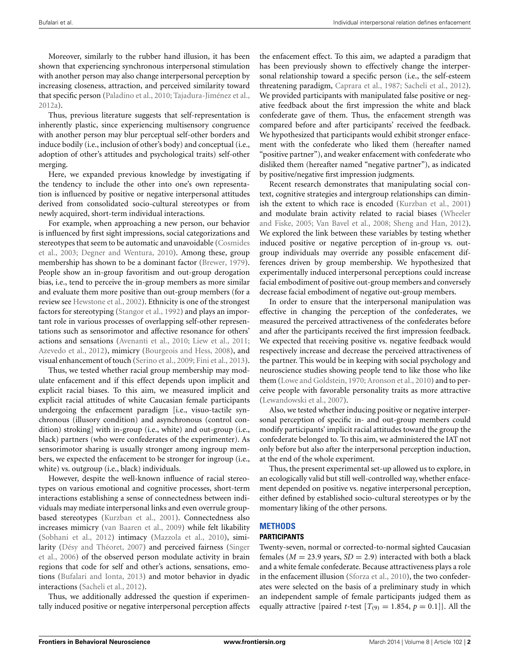Moreover, similarly to the rubber hand illusion, it has been shown that experiencing synchronous interpersonal stimulation with another person may also change interpersonal perception by increasing closeness, attraction, and perceived similarity toward that specific person [\(Paladino et al.](#page-10-11), [2010;](#page-10-11) [Tajadura-Jiménez et al.](#page-11-5), [2012a](#page-11-5)).

Thus, previous literature suggests that self-representation is inherently plastic, since experiencing multisensory congruence with another person may blur perceptual self-other borders and induce bodily (i.e., inclusion of other's body) and conceptual (i.e., adoption of other's attitudes and psychological traits) self-other merging.

Here, we expanded previous knowledge by investigating if the tendency to include the other into one's own representation is influenced by positive or negative interpersonal attitudes derived from consolidated socio-cultural stereotypes or from newly acquired, short-term individual interactions.

For example, when approaching a new person, our behavior is influenced by first sight impressions, social categorizations and stere[otypes that seem to be automatic and unavoidable \(](#page-10-12)Cosmides et al., [2003;](#page-10-12) [Degner and Wentura, 2010\)](#page-10-13). Among these, group membership has shown to be a dominant factor [\(Brewer, 1979\)](#page-10-14). People show an in-group favoritism and out-group derogation bias, i.e., tend to perceive the in-group members as more similar and evaluate them more positive than out-group members (for a review see [Hewstone et al., 2002](#page-10-15)). Ethnicity is one of the strongest factors for stereotyping [\(Stangor et al., 1992](#page-11-7)) and plays an important role in various processes of overlapping self-other representations such as sensorimotor and affective resonance for others' actions and sensations [\(Avenanti et al.](#page-10-16), [2010](#page-10-16); [Liew et al., 2011](#page-10-17); [Azevedo et al., 2012\)](#page-10-18), mimicry [\(Bourgeois and Hess](#page-10-19), [2008\)](#page-10-19), and visual enhancement of touch [\(Serino et al., 2009](#page-11-8); [Fini et al., 2013\)](#page-10-20).

Thus, we tested whether racial group membership may modulate enfacement and if this effect depends upon implicit and explicit racial biases. To this aim, we measured implicit and explicit racial attitudes of white Caucasian female participants undergoing the enfacement paradigm [i.e., visuo-tactile synchronous (illusory condition) and asynchronous (control condition) stroking] with in-group (i.e., white) and out-group (i.e., black) partners (who were confederates of the experimenter). As sensorimotor sharing is usually stronger among ingroup members, we expected the enfacement to be stronger for ingroup (i.e., white) vs. outgroup (i.e., black) individuals.

However, despite the well-known influence of racial stereotypes on various emotional and cognitive processes, short-term interactions establishing a sense of connectedness between individuals may mediate interpersonal links and even overrule groupbased stereotypes [\(Kurzban et al.](#page-10-21), [2001\)](#page-10-21). Connectedness also increases mimicry [\(van Baaren et al.](#page-11-9), [2009](#page-11-9)) while felt likability [\(Sobhani et al., 2012](#page-11-10)) intimacy [\(Mazzola et al.](#page-10-22), [2010\)](#page-10-22), similarit[y](#page-11-11) [\(Désy and Théoret, 2007](#page-10-23)[\) and perceived fairness \(](#page-11-11)Singer et al., [2006](#page-11-11)) of the observed person modulate activity in brain regions that code for self and other's actions, sensations, emotions [\(Bufalari and Ionta, 2013\)](#page-10-24) and motor behavior in dyadic interactions [\(Sacheli et al., 2012](#page-10-25)).

Thus, we additionally addressed the question if experimentally induced positive or negative interpersonal perception affects the enfacement effect. To this aim, we adapted a paradigm that has been previously shown to effectively change the interpersonal relationship toward a specific person (i.e., the self-esteem threatening paradigm, [Caprara et al., 1987](#page-10-26); [Sacheli et al.](#page-10-25), [2012\)](#page-10-25). We provided participants with manipulated false positive or negative feedback about the first impression the white and black confederate gave of them. Thus, the enfacement strength was compared before and after participants' received the feedback. We hypothesized that participants would exhibit stronger enfacement with the confederate who liked them (hereafter named "positive partner"), and weaker enfacement with confederate who disliked them (hereafter named "negative partner"), as indicated by positive/negative first impression judgments.

Recent research demonstrates that manipulating social context, cognitive strategies and intergroup relationships can diminish the extent to which race is encoded [\(Kurzban et al., 2001](#page-10-21)) and mod[ulate brain activity related to racial biases \(](#page-11-12)Wheeler and Fiske, [2005;](#page-11-12) [Van Bavel et al.](#page-11-13), [2008;](#page-11-13) [Sheng and Han](#page-11-14), [2012\)](#page-11-14). We explored the link between these variables by testing whether induced positive or negative perception of in-group vs. outgroup individuals may override any possible enfacement differences driven by group membership. We hypothesized that experimentally induced interpersonal perceptions could increase facial embodiment of positive out-group members and conversely decrease facial embodiment of negative out-group members.

In order to ensure that the interpersonal manipulation was effective in changing the perception of the confederates, we measured the perceived attractiveness of the confederates before and after the participants received the first impression feedback. We expected that receiving positive vs. negative feedback would respectively increase and decrease the perceived attractiveness of the partner. This would be in keeping with social psychology and neuroscience studies showing people tend to like those who like them [\(Lowe and Goldstein, 1970](#page-10-27); [Aronson et al.](#page-10-28), [2010](#page-10-28)) and to perceive people with favorable personality traits as more attractive [\(Lewandowski et al.](#page-10-29), [2007\)](#page-10-29).

Also, we tested whether inducing positive or negative interpersonal perception of specific in- and out-group members could modify participants' implicit racial attitudes toward the group the confederate belonged to. To this aim, we administered the IAT not only before but also after the interpersonal perception induction, at the end of the whole experiment.

Thus, the present experimental set-up allowed us to explore, in an ecologically valid but still well-controlled way, whether enfacement depended on positive vs. negative interpersonal perception, either defined by established socio-cultural stereotypes or by the momentary liking of the other persons.

# **METHODS PARTICIPANTS**

Twenty-seven, normal or corrected-to-normal sighted Caucasian females ( $M = 23.9$  years,  $SD = 2.9$ ) interacted with both a black and a white female confederate. Because attractiveness plays a role in the enfacement illusion [\(Sforza et al., 2010\)](#page-11-3), the two confederates were selected on the basis of a preliminary study in which an independent sample of female participants judged them as equally attractive {paired *t*-test  $[T_{(9)} = 1.854, p = 0.1]$ }. All the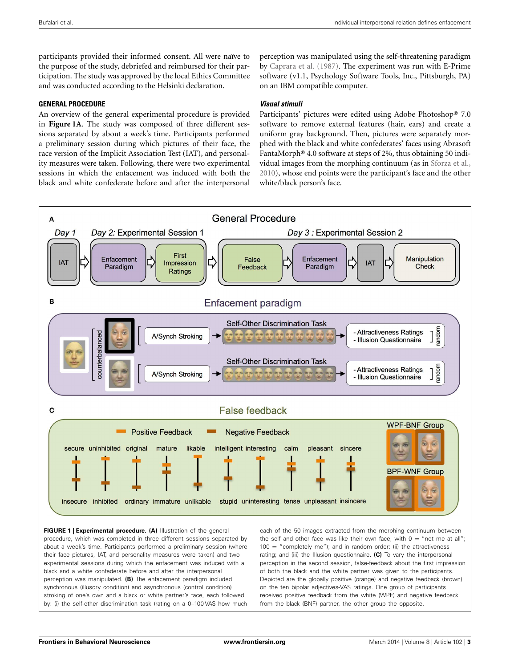participants provided their informed consent. All were naïve to the purpose of the study, debriefed and reimbursed for their participation. The study was approved by the local Ethics Committee and was conducted according to the Helsinki declaration.

# **GENERAL PROCEDURE**

An overview of the general experimental procedure is provided in **[Figure 1A](#page-2-0)**. The study was composed of three different sessions separated by about a week's time. Participants performed a preliminary session during which pictures of their face, the race version of the Implicit Association Test (IAT), and personality measures were taken. Following, there were two experimental sessions in which the enfacement was induced with both the black and white confederate before and after the interpersonal

perception was manipulated using the self-threatening paradigm by [Caprara et al.](#page-10-26) [\(1987\)](#page-10-26). The experiment was run with E-Prime software (v1.1, Psychology Software Tools, Inc., Pittsburgh, PA) on an IBM compatible computer.

# **Visual stimuli**

Participants' pictures were edited using Adobe Photoshop® 7.0 software to remove external features (hair, ears) and create a uniform gray background. Then, pictures were separately morphed with the black and white confederates' faces using Abrasoft FantaMorph® 4.0 software at steps of 2%, thus obtaining 50 individual images from the morphing continuum (as in [Sforza et al.](#page-11-3), [2010](#page-11-3)), whose end points were the participant's face and the other white/black person's face.



<span id="page-2-0"></span>**FIGURE 1 | Experimental procedure. (A)** Illustration of the general procedure, which was completed in three different sessions separated by about a week's time. Participants performed a preliminary session (where their face pictures, IAT, and personality measures were taken) and two experimental sessions during which the enfacement was induced with a black and a white confederate before and after the interpersonal perception was manipulated. **(B)** The enfacement paradigm included synchronous (illusory condition) and asynchronous (control condition) stroking of one's own and a black or white partner's face, each followed by: (i) the self-other discrimination task (rating on a 0–100 VAS how much

each of the 50 images extracted from the morphing continuum between the self and other face was like their own face, with  $0 =$  "not me at all";  $100 =$  "completely me"); and in random order: (ii) the attractiveness rating; and (iii) the Illusion questionnaire. **(C)** To vary the interpersonal perception in the second session, false-feedback about the first impression of both the black and the white partner was given to the participants. Depicted are the globally positive (orange) and negative feedback (brown) on the ten bipolar adjectives-VAS ratings. One group of participants received positive feedback from the white (WPF) and negative feedback from the black (BNF) partner, the other group the opposite.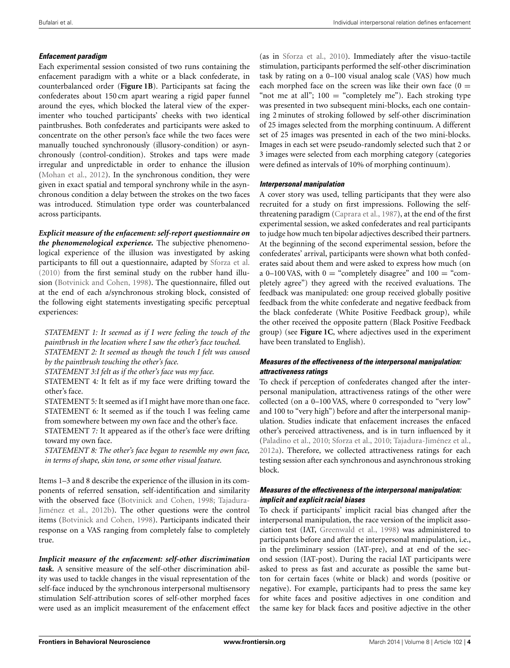# **Enfacement paradigm**

Each experimental session consisted of two runs containing the enfacement paradigm with a white or a black confederate, in counterbalanced order (**[Figure 1B](#page-2-0)**). Participants sat facing the confederates about 150 cm apart wearing a rigid paper funnel around the eyes, which blocked the lateral view of the experimenter who touched participants' cheeks with two identical paintbrushes. Both confederates and participants were asked to concentrate on the other person's face while the two faces were manually touched synchronously (illusory-condition) or asynchronously (control-condition). Strokes and taps were made irregular and unpredictable in order to enhance the illusion [\(Mohan et al., 2012\)](#page-10-30). In the synchronous condition, they were given in exact spatial and temporal synchrony while in the asynchronous condition a delay between the strokes on the two faces was introduced. Stimulation type order was counterbalanced across participants.

*Explicit measure of the enfacement: self-report questionnaire on the phenomenological experience.* The subjective phenomenological experience of the illusion was investigated by asking participants to fill out a questionnaire, adapted by [Sforza et al.](#page-11-3) [\(2010\)](#page-11-3) from the first seminal study on the rubber hand illusion [\(Botvinick and Cohen, 1998](#page-10-1)). The questionnaire, filled out at the end of each a/synchronous stroking block, consisted of the following eight statements investigating specific perceptual experiences:

*STATEMENT 1: It seemed as if I were feeling the touch of the paintbrush in the location where I saw the other's face touched. STATEMENT 2: It seemed as though the touch I felt was caused by the paintbrush touching the other's face.*

*STATEMENT 3:I felt as if the other's face was my face.*

STATEMENT 4*:* It felt as if my face were drifting toward the other's face.

STATEMENT 5*:* It seemed as if I might have more than one face. STATEMENT 6*:* It seemed as if the touch I was feeling came from somewhere between my own face and the other's face.

STATEMENT 7*:* It appeared as if the other's face were drifting toward my own face.

*STATEMENT 8: The other's face began to resemble my own face, in terms of shape, skin tone, or some other visual feature.*

Items 1–3 and 8 describe the experience of the illusion in its components of referred sensation, self-identification and similarity with the obse[rved face](#page-11-6) [\(Botvinick and Cohen](#page-10-1)[,](#page-11-6) [1998](#page-10-1)[;](#page-11-6) Tajadura-Jiménez et al., [2012b](#page-11-6)). The other questions were the control items [\(Botvinick and Cohen, 1998](#page-10-1)). Participants indicated their response on a VAS ranging from completely false to completely true.

*Implicit measure of the enfacement: self-other discrimination task.* A sensitive measure of the self-other discrimination ability was used to tackle changes in the visual representation of the self-face induced by the synchronous interpersonal multisensory stimulation Self-attribution scores of self-other morphed faces were used as an implicit measurement of the enfacement effect

(as in [Sforza et al.](#page-11-3), [2010\)](#page-11-3). Immediately after the visuo-tactile stimulation, participants performed the self-other discrimination task by rating on a 0–100 visual analog scale (VAS) how much each morphed face on the screen was like their own face  $(0 =$ "not me at all";  $100 =$  "completely me"). Each stroking type was presented in two subsequent mini-blocks, each one containing 2 minutes of stroking followed by self-other discrimination of 25 images selected from the morphing continuum. A different set of 25 images was presented in each of the two mini-blocks. Images in each set were pseudo-randomly selected such that 2 or 3 images were selected from each morphing category (categories were defined as intervals of 10% of morphing continuum).

# **Interpersonal manipulation**

A cover story was used, telling participants that they were also recruited for a study on first impressions. Following the selfthreatening paradigm [\(Caprara et al.](#page-10-26), [1987\)](#page-10-26), at the end of the first experimental session, we asked confederates and real participants to judge how much ten bipolar adjectives described their partners. At the beginning of the second experimental session, before the confederates' arrival, participants were shown what both confederates said about them and were asked to express how much (on a 0–100 VAS, with  $0 =$  "completely disagree" and  $100 =$  "completely agree") they agreed with the received evaluations. The feedback was manipulated: one group received globally positive feedback from the white confederate and negative feedback from the black confederate (White Positive Feedback group), while the other received the opposite pattern (Black Positive Feedback group) (see **[Figure 1C](#page-2-0)**, where adjectives used in the experiment have been translated to English).

# **Measures of the effectiveness of the interpersonal manipulation: attractiveness ratings**

To check if perception of confederates changed after the interpersonal manipulation, attractiveness ratings of the other were collected (on a 0–100 VAS, where 0 corresponded to "very low" and 100 to "very high") before and after the interpersonal manipulation. Studies indicate that enfacement increases the enfaced other's perceived attractiveness, and is in turn influenced by it [\(Paladino et al.](#page-10-11), [2010](#page-10-11); [Sforza et al.](#page-11-3), [2010](#page-11-3); [Tajadura-Jiménez et al.](#page-11-5), [2012a](#page-11-5)). Therefore, we collected attractiveness ratings for each testing session after each synchronous and asynchronous stroking block.

# **Measures of the effectiveness of the interpersonal manipulation: implicit and explicit racial biases**

To check if participants' implicit racial bias changed after the interpersonal manipulation, the race version of the implicit association test (IAT, [Greenwald et al.](#page-10-31), [1998\)](#page-10-31) was administered to participants before and after the interpersonal manipulation, i.e., in the preliminary session (IAT-pre), and at end of the second session (IAT-post). During the racial IAT participants were asked to press as fast and accurate as possible the same button for certain faces (white or black) and words (positive or negative). For example, participants had to press the same key for white faces and positive adjectives in one condition and the same key for black faces and positive adjective in the other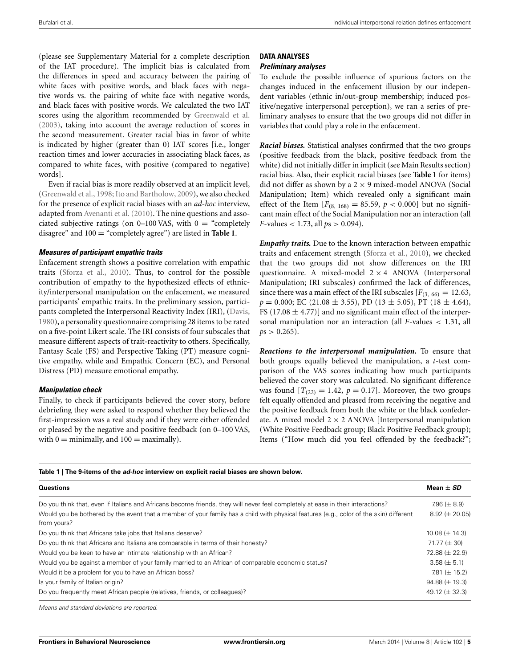(please see Supplementary Material for a complete description of the IAT procedure). The implicit bias is calculated from the differences in speed and accuracy between the pairing of white faces with positive words, and black faces with negative words vs. the pairing of white face with negative words, and black faces with positive words. We calculated the two IAT scores using the algorithm recommended by [Greenwald et al.](#page-10-32) [\(2003\)](#page-10-32), taking into account the average reduction of scores in the second measurement. Greater racial bias in favor of white is indicated by higher (greater than 0) IAT scores [i.e., longer reaction times and lower accuracies in associating black faces, as compared to white faces, with positive (compared to negative) words].

Even if racial bias is more readily observed at an implicit level, [\(Greenwald et al., 1998;](#page-10-31) [Ito and Bartholow](#page-10-33), [2009](#page-10-33)), we also checked for the presence of explicit racial biases with an *ad-hoc* interview, adapted from [Avenanti et al.](#page-10-16) [\(2010\)](#page-10-16). The nine questions and associated subjective ratings (on  $0-100$  VAS, with  $0 =$  "completely disagree" and 100 = "completely agree") are listed in **[Table 1](#page-4-0)**.

#### **Measures of participant empathic traits**

Enfacement strength shows a positive correlation with empathic traits [\(Sforza et al., 2010](#page-11-3)). Thus, to control for the possible contribution of empathy to the hypothesized effects of ethnicity/interpersonal manipulation on the enfacement, we measured participants' empathic traits. In the preliminary session, participants completed the Interpersonal Reactivity Index (IRI), [\(Davis](#page-10-34), [1980](#page-10-34)), a personality questionnaire comprising 28 items to be rated on a five-point Likert scale. The IRI consists of four subscales that measure different aspects of trait-reactivity to others. Specifically, Fantasy Scale (FS) and Perspective Taking (PT) measure cognitive empathy, while and Empathic Concern (EC), and Personal Distress (PD) measure emotional empathy.

## **Manipulation check**

Finally, to check if participants believed the cover story, before debriefing they were asked to respond whether they believed the first-impression was a real study and if they were either offended or pleased by the negative and positive feedback (on 0–100 VAS, with  $0 =$  minimally, and  $100 =$  maximally).

# **DATA ANALYSES**

# **Preliminary analyses**

To exclude the possible influence of spurious factors on the changes induced in the enfacement illusion by our independent variables (ethnic in/out-group membership; induced positive/negative interpersonal perception), we ran a series of preliminary analyses to ensure that the two groups did not differ in variables that could play a role in the enfacement.

*Racial biases.* Statistical analyses confirmed that the two groups (positive feedback from the black, positive feedback from the white) did not initially differ in implicit (see Main Results section) racial bias. Also, their explicit racial biases (see **[Table 1](#page-4-0)** for items) did not differ as shown by a  $2 \times 9$  mixed-model ANOVA (Social Manipulation; Item) which revealed only a significant main effect of the Item  $[F_{(8, 168)} = 85.59, p < 0.000]$  but no significant main effect of the Social Manipulation nor an interaction (all *F*-values < 1.73, all *p*s > 0.094).

*Empathy traits.* Due to the known interaction between empathic traits and enfacement strength [\(Sforza et al.](#page-11-3), [2010](#page-11-3)), we checked that the two groups did not show differences on the IRI questionnaire. A mixed-model  $2 \times 4$  ANOVA (Interpersonal Manipulation; IRI subscales) confirmed the lack of differences, since there was a main effect of the IRI subscales  $[F_{(3, 66)} = 12.63,$  $p = 0.000$ ; EC (21.08  $\pm$  3.55), PD (13  $\pm$  5.05), PT (18  $\pm$  4.64), FS (17.08  $\pm$  4.77)] and no significant main effect of the interpersonal manipulation nor an interaction (all *F*-values < 1.31, all  $ps > 0.265$ ).

*Reactions to the interpersonal manipulation.* To ensure that both groups equally believed the manipulation, a *t*-test comparison of the VAS scores indicating how much participants believed the cover story was calculated. No significant difference was found  $[T_{(22)} = 1.42, p = 0.17]$ . Moreover, the two groups felt equally offended and pleased from receiving the negative and the positive feedback from both the white or the black confederate. A mixed model  $2 \times 2$  ANOVA [Interpersonal manipulation (White Positive Feedback group; Black Positive Feedback group); Items ("How much did you feel offended by the feedback?";

#### **Table 1 | The 9-items of the** *ad-hoc* **interview on explicit racial biases are shown below.**

<span id="page-4-0"></span>

| <b>Questions</b>                                                                                                                                      | Mean $\pm$ SD        |
|-------------------------------------------------------------------------------------------------------------------------------------------------------|----------------------|
| Do you think that, even if Italians and Africans become friends, they will never feel completely at ease in their interactions?                       | 7.96 ( $\pm$ 8.9)    |
| Would you be bothered by the event that a member of your family has a child with physical features (e.g., color of the skin) different<br>from yours? | $8.92 \ (\pm 20.05)$ |
| Do you think that Africans take jobs that Italians deserve?                                                                                           | $10.08 \ (\pm 14.3)$ |
| Do you think that Africans and Italians are comparable in terms of their honesty?                                                                     | $71.77 \ (\pm 30)$   |
| Would you be keen to have an intimate relationship with an African?                                                                                   | 72.88 ( $\pm$ 22.9)  |
| Would you be against a member of your family married to an African of comparable economic status?                                                     | $3.58 \ (\pm 5.1)$   |
| Would it be a problem for you to have an African boss?                                                                                                | 7.81 ( $\pm$ 15.2)   |
| Is your family of Italian origin?                                                                                                                     | $94.88 \ (\pm 19.3)$ |
| Do you frequently meet African people (relatives, friends, or colleagues)?                                                                            | 49.12 ( $\pm$ 32.3)  |

Means and standard deviations are reported.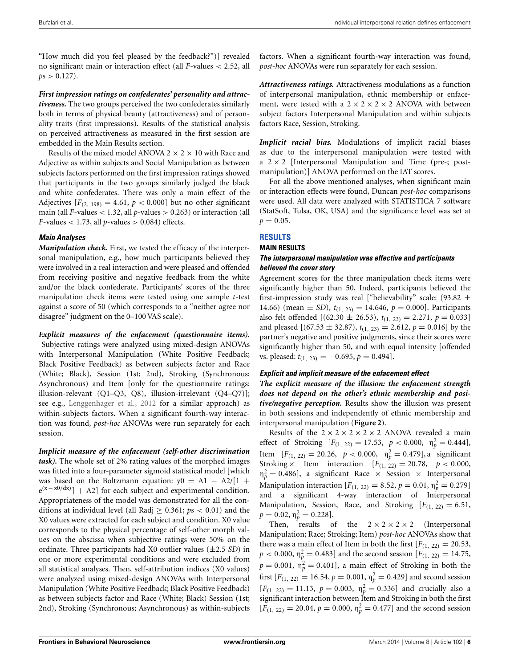"How much did you feel pleased by the feedback?")] revealed no significant main or interaction effect (all *F*-values < 2.52, all  $ps > 0.127$ .

*First impression ratings on confederates' personality and attractiveness.* The two groups perceived the two confederates similarly both in terms of physical beauty (attractiveness) and of personality traits (first impressions). Results of the statistical analysis on perceived attractiveness as measured in the first session are embedded in the Main Results section.

Results of the mixed model ANOVA 2  $\times$  2  $\times$  10 with Race and Adjective as within subjects and Social Manipulation as between subjects factors performed on the first impression ratings showed that participants in the two groups similarly judged the black and white confederates. There was only a main effect of the Adjectives  $[F<sub>(2, 198)</sub> = 4.61, p < 0.000]$  but no other significant main (all *F*-values < 1.32, all *p*-values > 0.263) or interaction (all  $F$ -values < 1.73, all  $p$ -values > 0.084) effects.

# **Main Analyses**

*Manipulation check.* First, we tested the efficacy of the interpersonal manipulation, e.g., how much participants believed they were involved in a real interaction and were pleased and offended from receiving positive and negative feedback from the white and/or the black confederate. Participants' scores of the three manipulation check items were tested using one sample *t*-test against a score of 50 (which corresponds to a "neither agree nor disagree" judgment on the 0–100 VAS scale).

*Explicit measures of the enfacement (questionnaire items).* Subjective ratings were analyzed using mixed-design ANOVAs with Interpersonal Manipulation (White Positive Feedback; Black Positive Feedback) as between subjects factor and Race (White; Black), Session (1st; 2nd), Stroking (Synchronous; Asynchronous) and Item [only for the questionnaire ratings: illusion-relevant (Q1–Q3, Q8), illusion-irrelevant (Q4–Q7)]; see e.g., [Lenggenhager et al.](#page-10-35), [2012](#page-10-35) for a similar approach) as within-subjects factors. When a significant fourth-way interaction was found, *post-hoc* ANOVAs were run separately for each session.

*Implicit measure of the enfacement (self-other discrimination task).* The whole set of 2% rating values of the morphed images was fitted into a four-parameter sigmoid statistical model [which was based on the Boltzmann equation:  $y0 = A1 - A2/[1 +$  $e^{(x-x_0/dx)}$  + A2] for each subject and experimental condition. Appropriateness of the model was demonstrated for all the conditions at individual level (all Radj ≥ 0.361; *p*s < 0.01) and the X0 values were extracted for each subject and condition. X0 value corresponds to the physical percentage of self-other morph values on the abscissa when subjective ratings were 50% on the ordinate. Three participants had X0 outlier values (±2.5 *SD*) in one or more experimental conditions and were excluded from all statistical analyses. Then, self-attribution indices (X0 values) were analyzed using mixed-design ANOVAs with Interpersonal Manipulation (White Positive Feedback; Black Positive Feedback) as between subjects factor and Race (White; Black) Session (1st; 2nd), Stroking (Synchronous; Asynchronous) as within-subjects

factors. When a significant fourth-way interaction was found, *post-hoc* ANOVAs were run separately for each session.

*Attractiveness ratings.* Attractiveness modulations as a function of interpersonal manipulation, ethnic membership or enfacement, were tested with a  $2 \times 2 \times 2 \times 2$  ANOVA with between subject factors Interpersonal Manipulation and within subjects factors Race, Session, Stroking.

*Implicit racial bias.* Modulations of implicit racial biases as due to the interpersonal manipulation were tested with a  $2 \times 2$  [Interpersonal Manipulation and Time (pre-; postmanipulation)] ANOVA performed on the IAT scores.

For all the above mentioned analyses, when significant main or interaction effects were found, Duncan *post-hoc* comparisons were used. All data were analyzed with STATISTICA 7 software (StatSoft, Tulsa, OK, USA) and the significance level was set at  $p = 0.05$ .

# **RESULTS**

## **MAIN RESULTS**

# **The interpersonal manipulation was effective and participants believed the cover story**

Agreement scores for the three manipulation check items were significantly higher than 50, Indeed, participants believed the first-impression study was real ["believability" scale: (93.82  $\pm$ 14.66) (mean  $\pm$  *SD*),  $t_{(1, 23)} = 14.646$ ,  $p = 0.000$ ]. Participants also felt offended  $[(62.30 \pm 26.53), t_{(1, 23)} = 2.271, p = 0.033]$ and pleased  $[(67.53 \pm 32.87), t_{(1, 23)} = 2.612, p = 0.016]$  by the partner's negative and positive judgments, since their scores were significantly higher than 50, and with equal intensity [offended vs. pleased:  $t_{(1, 23)} = -0.695, p = 0.494$ .

# **Explicit and implicit measure of the enfacement effect**

*The explicit measure of the illusion: the enfacement strength does not depend on the other's ethnic membership and positive/negative perception.* Results show the illusion was present in both sessions and independently of ethnic membership and interpersonal manipulation (**[Figure 2](#page-6-0)**).

Results of the  $2 \times 2 \times 2 \times 2 \times 2$  ANOVA revealed a main effect of Stroking  $[F_{(1, 22)} = 17.53, p < 0.000, \eta_p^2 = 0.444]$ , Item  $[F_{(1, 22)} = 20.26, p < 0.000, \eta_p^2 = 0.479]$ , a significant Stroking  $\times$  Item interaction  $[F_{(1, 22)} = 20.78, p < 0.000,$  $\eta_p^2 = 0.486$ , a significant Race  $\times$  Session  $\times$  Interpersonal Manipulation interaction  $[F_{(1, 22)} = 8.52, p = 0.01, \eta_p^2 = 0.279]$ and a significant 4-way interaction of Interpersonal Manipulation, Session, Race, and Stroking  $[F(1, 22) = 6.51,$  $p = 0.02, \eta_p^2 = 0.228$ .

Then, results of the  $2 \times 2 \times 2 \times 2$  (Interpersonal Manipulation; Race; Stroking; Item) *post-hoc* ANOVAs show that there was a main effect of Item in both the first  $[F(1, 22) = 20.53]$ ,  $p < 0.000$ ,  $\eta_p^2 = 0.483$ ] and the second session [ $F_{(1, 22)} = 14.75$ ,  $p = 0.001$ ,  $\eta_p^2 = 0.401$ , a main effect of Stroking in both the first  $[F_{(1, 22)} = 16.54, p = 0.001, \eta_p^2 = 0.429]$  and second session  $[F(1, 22) = 11.13, p = 0.003, \eta_p^2 = 0.336]$  and crucially also a significant interaction between Item and Stroking in both the first  $[F_{(1, 22)} = 20.04, p = 0.000, \eta_p^2 = 0.477]$  and the second session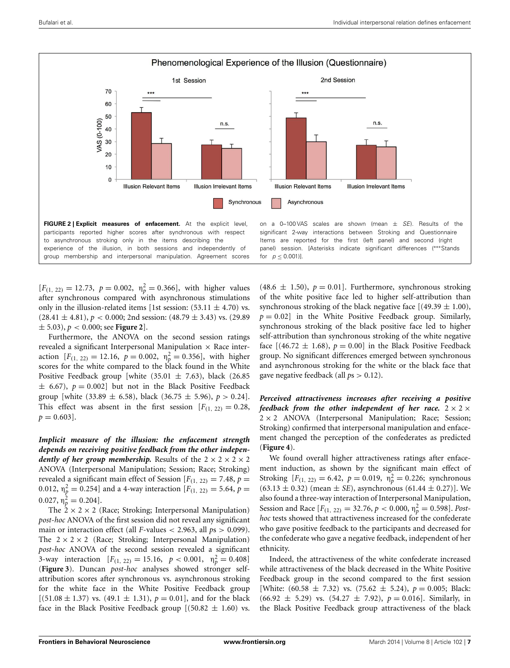

<span id="page-6-0"></span>participants reported higher scores after synchronous with respect to asynchronous stroking only in the items describing the experience of the illusion, in both sessions and independently of group membership and interpersonal manipulation. Agreement scores

significant 2-way interactions between Stroking and Questionnaire Items are reported for the first (left panel) and second (right panel) session. [Asterisks indicate significant differences (\*\*\*Stands for  $p < 0.001$ ]

 $[F_{(1, 22)} = 12.73, p = 0.002, \eta_p^2 = 0.366]$ , with higher values after synchronous compared with asynchronous stimulations only in the illusion-related items [1st session:  $(53.11 \pm 4.70)$  vs.  $(28.41 \pm 4.81), p < 0.000; 2nd$  session:  $(48.79 \pm 3.43)$  vs.  $(29.89$  $\pm$  5.03),  $p < 0.000$ ; see **[Figure 2](#page-6-0)**.

Furthermore, the ANOVA on the second session ratings revealed a significant Interpersonal Manipulation  $\times$  Race interaction  $[F_{(1, 22)} = 12.16, p = 0.002, \eta_p^2 = 0.356]$ , with higher scores for the white compared to the black found in the White Positive Feedback group [white (35.01  $\pm$  7.63), black (26.85  $\pm$  6.67),  $p = 0.002$ ] but not in the Black Positive Feedback group [white (33.89  $\pm$  6.58), black (36.75  $\pm$  5.96),  $p > 0.24$ ]. This effect was absent in the first session  $[F(1, 22) = 0.28$ ,  $p = 0.603$ .

*Implicit measure of the illusion: the enfacement strength depends on receiving positive feedback from the other independently of her group membership.* Results of the  $2 \times 2 \times 2 \times 2$ ANOVA (Interpersonal Manipulation; Session; Race; Stroking) revealed a significant main effect of Session  $[F(1, 22) = 7.48, p =$ 0.012,  $\eta_p^2 = 0.254$ ] and a 4-way interaction [ $F_{(1, 22)} = 5.64$ ,  $p =$  $(0.027, \eta_p^2 = 0.204].$ 

The  $2 \times 2 \times 2$  (Race; Stroking; Interpersonal Manipulation) *post-hoc* ANOVA of the first session did not reveal any significant main or interaction effect (all *F*-values  $<$  2.963, all  $ps$   $>$  0.099). The  $2 \times 2 \times 2$  (Race; Stroking; Interpersonal Manipulation) *post-hoc* ANOVA of the second session revealed a significant 3-way interaction  $[F_{(1, 22)} = 15.16, p < 0.001, \eta_p^2 = 0.408]$ (**[Figure 3](#page-7-0)**). Duncan *post-hoc* analyses showed stronger selfattribution scores after synchronous vs. asynchronous stroking for the white face in the White Positive Feedback group  $[(51.08 \pm 1.37) \text{ vs. } (49.1 \pm 1.31), p = 0.01]$ , and for the black face in the Black Positive Feedback group  $[(50.82 \pm 1.60)$  vs.

 $(48.6 \pm 1.50), p = 0.01$ . Furthermore, synchronous stroking of the white positive face led to higher self-attribution than synchronous stroking of the black negative face  $[(49.39 \pm 1.00)]$ ,  $p = 0.02$ ] in the White Positive Feedback group. Similarly, synchronous stroking of the black positive face led to higher self-attribution than synchronous stroking of the white negative face  $[(46.72 \pm 1.68), p = 0.00]$  in the Black Positive Feedback group. No significant differences emerged between synchronous and asynchronous stroking for the white or the black face that gave negative feedback (all *p*s > 0.12).

*Perceived attractiveness increases after receiving a positive feedback from the other independent of her race.*  $2 \times 2 \times$  $2 \times 2$  ANOVA (Interpersonal Manipulation; Race; Session; Stroking) confirmed that interpersonal manipulation and enfacement changed the perception of the confederates as predicted (**[Figure 4](#page-7-1)**).

We found overall higher attractiveness ratings after enfacement induction, as shown by the significant main effect of Stroking  $[F_{(1, 22)} = 6.42, p = 0.019, \eta_p^2 = 0.226;$  synchronous  $(63.13 \pm 0.32)$  (mean  $\pm$  *SE*), asynchronous  $(61.44 \pm 0.27)$ ]. We also found a three-way interaction of Interpersonal Manipulation, Session and Race  $[F_{(1, 22)} = 32.76, p < 0.000, \eta_p^2 = 0.598]$ . *Posthoc* tests showed that attractiveness increased for the confederate who gave positive feedback to the participants and decreased for the confederate who gave a negative feedback, independent of her ethnicity.

Indeed, the attractiveness of the white confederate increased while attractiveness of the black decreased in the White Positive Feedback group in the second compared to the first session [White:  $(60.58 \pm 7.32)$  vs.  $(75.62 \pm 5.24)$ ,  $p = 0.005$ ; Black:  $(66.92 \pm 5.29)$  vs.  $(54.27 \pm 7.92)$ ,  $p = 0.016$ . Similarly, in the Black Positive Feedback group attractiveness of the black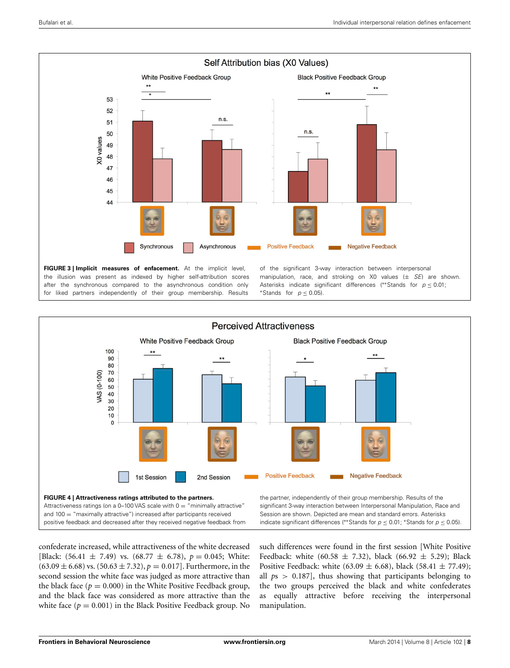

<span id="page-7-0"></span>the illusion was present as indexed by higher self-attribution scores after the synchronous compared to the asynchronous condition only for liked partners independently of their group membership. Results

manipulation, race, and stroking on X0 values  $(\pm \text{ } SE)$  are shown. Asterisks indicate significant differences (\*\*Stands for  $p \le 0.01$ ; \*Stands for  $p \le 0.05$ ).



<span id="page-7-1"></span>confederate increased, while attractiveness of the white decreased [Black:  $(56.41 \pm 7.49)$  vs.  $(68.77 \pm 6.78)$ ,  $p = 0.045$ ; White:  $(63.09 \pm 6.68)$  vs.  $(50.63 \pm 7.32)$ ,  $p = 0.017$ ]. Furthermore, in the second session the white face was judged as more attractive than the black face ( $p = 0.000$ ) in the White Positive Feedback group, and the black face was considered as more attractive than the white face  $(p = 0.001)$  in the Black Positive Feedback group. No

such differences were found in the first session [White Positive Feedback: white (60.58  $\pm$  7.32), black (66.92  $\pm$  5.29); Black Positive Feedback: white (63.09  $\pm$  6.68), black (58.41  $\pm$  77.49); all *p*s > 0.187], thus showing that participants belonging to the two groups perceived the black and white confederates as equally attractive before receiving the interpersonal manipulation.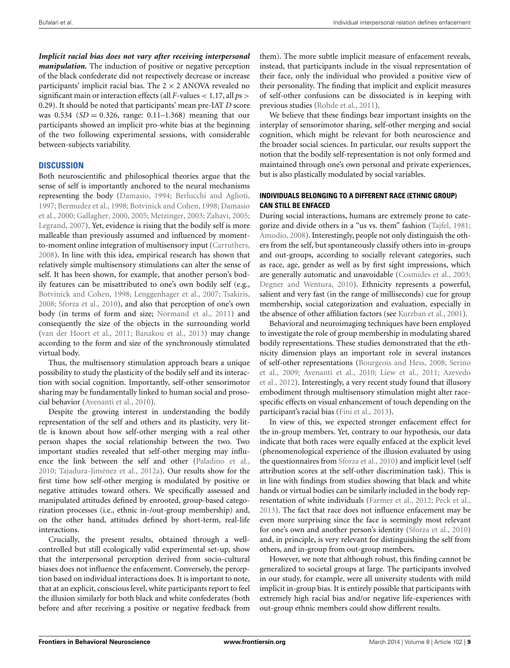*Implicit racial bias does not vary after receiving interpersonal manipulation*. The induction of positive or negative perception of the black confederate did not respectively decrease or increase participants' implicit racial bias. The  $2 \times 2$  ANOVA revealed no significant main or interaction effects (all *F*-values < 1.17, all *p*s > 0.29). It should be noted that participants' mean pre-IAT *D* score was  $0.534$  (*SD* = 0.326, range: 0.11–1.368) meaning that our participants showed an implicit pro-white bias at the beginning of the two following experimental sessions, with considerable between-subjects variability.

# **DISCUSSION**

Both neuroscientific and philosophical theories argue that the sense of self is importantly anchored to the neural mechanisms representing the body [\(Damasio, 1994](#page-10-36); [Berlucchi and Aglioti,](#page-10-37) [1997](#page-10-37)[;](#page-10-39) [Bermudez et al., 1998](#page-10-38)[;](#page-10-39) [Botvinick and Cohen, 1998](#page-10-1)[;](#page-10-39) Damasio et al., [2000](#page-10-39); [Gallagher](#page-10-0), [2000](#page-10-0), [2005;](#page-10-40) [Metzinger](#page-10-41), [2003;](#page-10-41) [Zahavi, 2005;](#page-11-15) [Legrand](#page-10-42), [2007](#page-10-42)). Yet, evidence is rising that the bodily self is more malleable than previously assumed and influenced by momentto-moment online integration of multisensory input [\(Carruthers,](#page-10-43) [2008](#page-10-43)). In line with this idea, empirical research has shown that relatively simple multisensory stimulations can alter the sense of self. It has been shown, for example, that another person's bodily features can be misattributed to one's own bodily self (e.g., [Botvinick and Cohen, 1998](#page-10-1); [Lenggenhager et al.](#page-10-2), [2007](#page-10-2); [Tsakiris,](#page-11-4) [2008](#page-11-4); [Sforza et al., 2010](#page-11-3)), and also that perception of one's own body (in terms of form and size; [Normand et al., 2011\)](#page-10-44) and consequently the size of the objects in the surrounding world [\(van der Hoort et al.](#page-11-16), [2011](#page-11-16); [Banakou et al.](#page-10-45), [2013\)](#page-10-45) may change according to the form and size of the synchronously stimulated virtual body.

Thus, the multisensory stimulation approach bears a unique possibility to study the plasticity of the bodily self and its interaction with social cognition. Importantly, self-other sensorimotor sharing may be fundamentally linked to human social and prosocial behavior [\(Avenanti et al.](#page-10-16), [2010\)](#page-10-16).

Despite the growing interest in understanding the bodily representation of the self and others and its plasticity, very little is known about how self-other merging with a real other person shapes the social relationship between the two. Two important studies revealed that self-other merging may influence the link between the self and other [\(Paladino et al.](#page-10-11), [2010](#page-10-11); [Tajadura-Jiménez et al., 2012a\)](#page-11-5). Our results show for the first time how self-other merging is modulated by positive or negative attitudes toward others. We specifically assessed and manipulated attitudes defined by enrooted, group-based categorization processes (i.e., ethnic in-/out-group membership) and, on the other hand, attitudes defined by short-term, real-life interactions.

Crucially, the present results, obtained through a wellcontrolled but still ecologically valid experimental set-up, show that the interpersonal perception derived from socio-cultural biases does not influence the enfacement. Conversely, the perception based on individual interactions does. It is important to note, that at an explicit, conscious level, white participants report to feel the illusion similarly for both black and white confederates (both before and after receiving a positive or negative feedback from them). The more subtle implicit measure of enfacement reveals, instead, that participants include in the visual representation of their face, only the individual who provided a positive view of their personality. The finding that implicit and explicit measures of self-other confusions can be dissociated is in keeping with previous studies [\(Rohde et al.](#page-10-46), [2011\)](#page-10-46).

We believe that these findings bear important insights on the interplay of sensorimotor sharing, self-other merging and social cognition, which might be relevant for both neuroscience and the broader social sciences. In particular, our results support the notion that the bodily self-representation is not only formed and maintained through one's own personal and private experiences, but is also plastically modulated by social variables.

## **INDIVIDUALS BELONGING TO A DIFFERENT RACE (ETHNIC GROUP) CAN STILL BE ENFACED**

During social interactions, humans are extremely prone to categorize and divide others in a "us vs. them" fashion [\(Tajfel](#page-11-17), [1981](#page-11-17); [Amodio](#page-10-47), [2008\)](#page-10-47). Interestingly, people not only distinguish the others from the self, but spontaneously classify others into in-groups and out-groups, according to socially relevant categories, such as race, age, gender as well as by first sight impressions, which are generally automatic and unavoidable [\(Cosmides et al.](#page-10-12), [2003](#page-10-12); [Degner and Wentura](#page-10-13), [2010](#page-10-13)). Ethnicity represents a powerful, salient and very fast (in the range of milliseconds) cue for group membership, social categorization and evaluation, especially in the absence of other affiliation factors (see [Kurzban et al., 2001](#page-10-21)).

Behavioral and neuroimaging techniques have been employed to investigate the role of group membership in modulating shared bodily representations. These studies demonstrated that the ethnicity dimension plays an important role in several instances of se[lf-other representations](#page-11-8) [\(Bourgeois and Hess, 2008](#page-10-19)[;](#page-11-8) Serino et al[.,](#page-10-18) [2009](#page-11-8)[;](#page-10-18) [Avenanti et al., 2010](#page-10-16)[;](#page-10-18) [Liew et al.](#page-10-17)[,](#page-10-18) [2011](#page-10-17)[;](#page-10-18) Azevedo et al., [2012](#page-10-18)). Interestingly, a very recent study found that illusory embodiment through multisensory stimulation might alter racespecific effects on visual enhancement of touch depending on the participant's racial bias [\(Fini et al.](#page-10-20), [2013\)](#page-10-20).

In view of this, we expected stronger enfacement effect for the in-group members. Yet, contrary to our hypothesis, our data indicate that both races were equally enfaced at the explicit level (phenomenological experience of the illusion evaluated by using the questionnaires from [Sforza et al., 2010](#page-11-3)) and implicit level (self attribution scores at the self-other discrimination task). This is in line with findings from studies showing that black and white hands or virtual bodies can be similarly included in the body representation of white individuals [\(Farmer et al.](#page-10-8), [2012;](#page-10-8) [Peck et al.](#page-10-9), [2013](#page-10-9)). The fact that race does not influence enfacement may be even more surprising since the face is seemingly most relevant for one's own and another person's identity [\(Sforza et al., 2010](#page-11-3)) and, in principle, is very relevant for distinguishing the self from others, and in-group from out-group members.

However, we note that although robust, this finding cannot be generalized to societal groups at large. The participants involved in our study, for example, were all university students with mild implicit in-group bias. It is entirely possible that participants with extremely high racial bias and/or negative life-experiences with out-group ethnic members could show different results.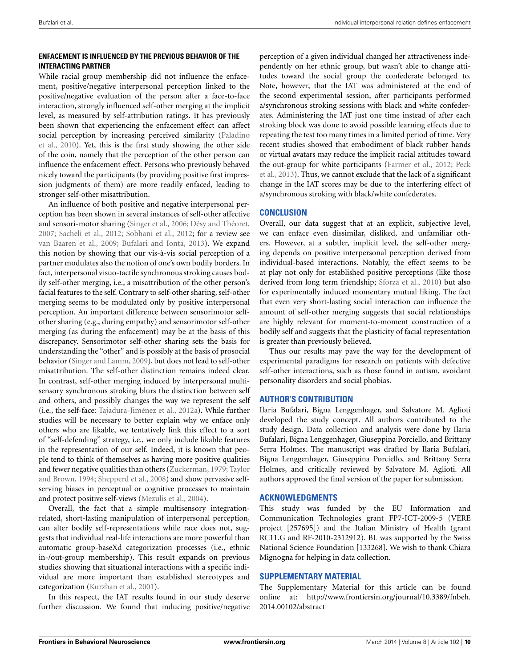# **ENFACEMENT IS INFLUENCED BY THE PREVIOUS BEHAVIOR OF THE INTERACTING PARTNER**

While racial group membership did not influence the enfacement, positive/negative interpersonal perception linked to the positive/negative evaluation of the person after a face-to-face interaction, strongly influenced self-other merging at the implicit level, as measured by self-attribution ratings. It has previously been shown that experiencing the enfacement effect can affect socia[l perception by increasing perceived similarity \(](#page-10-11)Paladino et al., [2010\)](#page-10-11). Yet, this is the first study showing the other side of the coin, namely that the perception of the other person can influence the enfacement effect. Persons who previously behaved nicely toward the participants (by providing positive first impression judgments of them) are more readily enfaced, leading to stronger self-other misattribution.

An influence of both positive and negative interpersonal perception has been shown in several instances of self-other affective and sensori-motor sharing [\(Singer et al.](#page-11-11), [2006](#page-11-11); [Désy and Théoret](#page-10-23), [2007](#page-10-23); [Sacheli et al., 2012;](#page-10-25) [Sobhani et al., 2012;](#page-11-10) for a review see [van Baaren et al.](#page-11-9), [2009](#page-11-9); [Bufalari and Ionta](#page-10-24), [2013\)](#page-10-24). We expand this notion by showing that our vis-à-vis social perception of a partner modulates also the notion of one's own bodily borders. In fact, interpersonal visuo-tactile synchronous stroking causes bodily self-other merging, i.e., a misattribution of the other person's facial features to the self. Contrary to self-other sharing, self-other merging seems to be modulated only by positive interpersonal perception. An important difference between sensorimotor selfother sharing (e.g., during empathy) and sensorimotor self-other merging (as during the enfacement) may be at the basis of this discrepancy. Sensorimotor self-other sharing sets the basis for understanding the "other" and is possibly at the basis of prosocial behavior [\(Singer and Lamm](#page-11-18), [2009\)](#page-11-18), but does not lead to self-other misattribution. The self-other distinction remains indeed clear. In contrast, self-other merging induced by interpersonal multisensory synchronous stroking blurs the distinction between self and others, and possibly changes the way we represent the self (i.e., the self-face: [Tajadura-Jiménez et al., 2012a\)](#page-11-5). While further studies will be necessary to better explain why we enface only others who are likable, we tentatively link this effect to a sort of "self-defending" strategy, i.e., we only include likable features in the representation of our self. Indeed, it is known that people tend to think of themselves as having more positive qualities and fewer [negative qualities than others](#page-11-20) [\(Zuckerman, 1979](#page-11-19)[;](#page-11-20) Taylor and Brown, [1994](#page-11-20); [Shepperd et al., 2008\)](#page-11-21) and show pervasive selfserving biases in perceptual or cognitive processes to maintain and protect positive self-views [\(Mezulis et al., 2004](#page-10-48)).

Overall, the fact that a simple multisensory integrationrelated, short-lasting manipulation of interpersonal perception, can alter bodily self-representations while race does not, suggests that individual real-life interactions are more powerful than automatic group-baseXd categorization processes (i.e., ethnic in-/out-group membership). This result expands on previous studies showing that situational interactions with a specific individual are more important than established stereotypes and categorization [\(Kurzban et al.](#page-10-21), [2001\)](#page-10-21).

In this respect, the IAT results found in our study deserve further discussion. We found that inducing positive/negative

perception of a given individual changed her attractiveness independently on her ethnic group, but wasn't able to change attitudes toward the social group the confederate belonged to. Note, however, that the IAT was administered at the end of the second experimental session, after participants performed a/synchronous stroking sessions with black and white confederates. Administering the IAT just one time instead of after each stroking block was done to avoid possible learning effects due to repeating the test too many times in a limited period of time. Very recent studies showed that embodiment of black rubber hands or virtual avatars may reduce the implicit racial attitudes toward the [out-group for white participants](#page-10-9) [\(Farmer et al., 2012;](#page-10-8) Peck et al., [2013](#page-10-9)). Thus, we cannot exclude that the lack of a significant change in the IAT scores may be due to the interfering effect of a/synchronous stroking with black/white confederates.

# **CONCLUSION**

Overall, our data suggest that at an explicit, subjective level, we can enface even dissimilar, disliked, and unfamiliar others. However, at a subtler, implicit level, the self-other merging depends on positive interpersonal perception derived from individual-based interactions. Notably, the effect seems to be at play not only for established positive perceptions (like those derived from long term friendship; [Sforza et al.](#page-11-3), [2010](#page-11-3)) but also for experimentally induced momentary mutual liking. The fact that even very short-lasting social interaction can influence the amount of self-other merging suggests that social relationships are highly relevant for moment-to-moment construction of a bodily self and suggests that the plasticity of facial representation is greater than previously believed.

Thus our results may pave the way for the development of experimental paradigms for research on patients with defective self-other interactions, such as those found in autism, avoidant personality disorders and social phobias.

# **AUTHOR'S CONTRIBUTION**

Ilaria Bufalari, Bigna Lenggenhager, and Salvatore M. Aglioti developed the study concept. All authors contributed to the study design. Data collection and analysis were done by Ilaria Bufalari, Bigna Lenggenhager, Giuseppina Porciello, and Brittany Serra Holmes. The manuscript was drafted by Ilaria Bufalari, Bigna Lenggenhager, Giuseppina Porciello, and Brittany Serra Holmes, and critically reviewed by Salvatore M. Aglioti. All authors approved the final version of the paper for submission.

## **ACKNOWLEDGMENTS**

This study was funded by the EU Information and Communication Technologies grant FP7-ICT-2009-5 (VERE project [257695]) and the Italian Ministry of Health (grant RC11.G and RF-2010-2312912). BL was supported by the Swiss National Science Foundation [133268]. We wish to thank Chiara Mignogna for helping in data collection.

# **SUPPLEMENTARY MATERIAL**

The Supplementary Material for this article can be found online at: [http://www.frontiersin.org/journal/10.3389/fnbeh.](http://www.frontiersin.org/journal/10.3389/fnbeh.2014.00102/abstract) [2014.00102/abstract](http://www.frontiersin.org/journal/10.3389/fnbeh.2014.00102/abstract)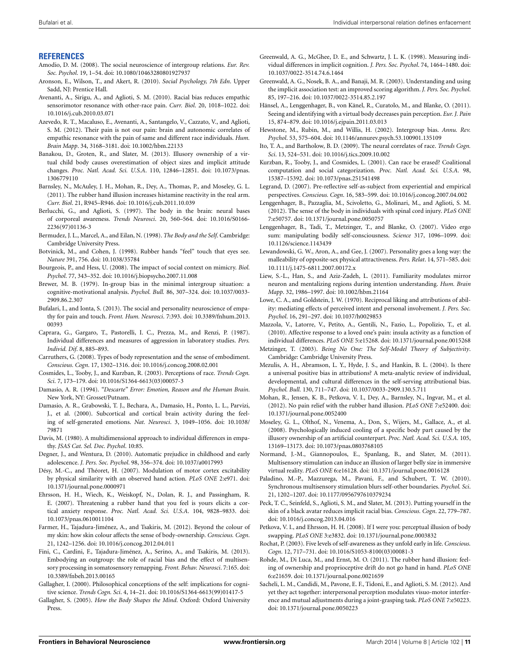#### **REFERENCES**

- <span id="page-10-47"></span>Amodio, D. M. (2008). The social neuroscience of intergroup relations. *Eur. Rev. Soc. Psychol*. 19, 1–54. doi: 10.1080/10463280801927937
- <span id="page-10-28"></span>Aronson, E., Wilson, T., and Akert, R. (2010). *Social Psychology, 7th Edn*. Upper Sadd, NJ: Prentice Hall.
- <span id="page-10-16"></span>Avenanti, A., Sirigu, A., and Aglioti, S. M. (2010). Racial bias reduces empathic sensorimotor resonance with other-race pain. *Curr. Biol*. 20, 1018–1022. doi: 10.1016/j.cub.2010.03.071
- <span id="page-10-18"></span>Azevedo, R. T., Macaluso, E., Avenanti, A., Santangelo, V., Cazzato, V., and Aglioti, S. M. (2012). Their pain is not our pain: brain and autonomic correlates of empathic resonance with the pain of same and different race individuals. *Hum. Brain Mapp*. 34, 3168–3181. doi: 10.1002/hbm.22133
- <span id="page-10-45"></span>Banakou, D., Groten, R., and Slater, M. (2013). Illusory ownership of a virtual child body causes overestimation of object sizes and implicit attitude changes. *Proc. Natl. Acad. Sci. U.S.A*. 110, 12846–12851. doi: 10.1073/pnas. 1306779110
- <span id="page-10-5"></span>Barnsley, N., McAuley, J. H., Mohan, R., Dey, A., Thomas, P., and Moseley, G. L. (2011). The rubber hand illusion increases histamine reactivity in the real arm. *Curr. Biol*. 21, R945–R946. doi: 10.1016/j.cub.2011.10.039
- <span id="page-10-37"></span>Berlucchi, G., and Aglioti, S. (1997). The body in the brain: neural bases of corporeal awareness. *Trends Neurosci*. 20, 560–564. doi: 10.1016/S0166- 2236(97)01136-3
- <span id="page-10-38"></span>Bermudez, J. L., Marcel, A., and Eilan, N. (1998). *The Body and the Self*. Cambridge: Cambridge University Press.
- <span id="page-10-1"></span>Botvinick, M., and Cohen, J. (1998). Rubber hands "feel" touch that eyes see. *Nature* 391, 756. doi: 10.1038/35784
- <span id="page-10-19"></span>Bourgeois, P., and Hess, U. (2008). The impact of social context on mimicry. *Biol. Psychol*. 77, 343–352. doi: 10.1016/j.biopsycho.2007.11.008
- <span id="page-10-14"></span>Brewer, M. B. (1979). In-group bias in the minimal intergroup situation: a cognitive-motivational analysis. *Psychol. Bull.* 86, 307–324. doi: 10.1037/0033- 2909.86.2.307
- <span id="page-10-24"></span>Bufalari, I., and Ionta, S. (2013). The social and personality neuroscience of empathy for pain and touch. *Front. Hum. Neurosci*. 7:393. doi: 10.3389/fnhum.2013. 00393
- <span id="page-10-26"></span>Caprara, G., Gargaro, T., Pastorelli, I. C., Prezza, M., and Renzi, P. (1987). Individual differences and measures of aggression in laboratory studies. *Pers. Individ. Dif*. 8, 885–893.
- <span id="page-10-43"></span>Carruthers, G. (2008). Types of body representation and the sense of embodiment. *Conscious. Cogn*. 17, 1302–1316. doi: 10.1016/j.concog.2008.02.001
- <span id="page-10-12"></span>Cosmides, L., Tooby, J., and Kurzban, R. (2003). Perceptions of race. *Trends Cogn. Sci*. 7, 173–179. doi: 10.1016/S1364-6613(03)00057-3
- <span id="page-10-36"></span>Damasio, A. R. (1994). *"Descarte" Error: Emotion, Reason and the Human Brain*. New York, NY: Grosset/Putnam.
- <span id="page-10-39"></span>Damasio, A. R., Grabowski, T. J., Bechara, A., Damasio, H., Ponto, L. L., Parvizi, J., et al. (2000). Subcortical and cortical brain activity during the feeling of self-generated emotions. *Nat. Neurosci*. 3, 1049–1056. doi: 10.1038/ 79871
- <span id="page-10-34"></span>Davis, M. (1980). A multidimensional approach to individual differences in empathy. *JSAS Cat. Sel. Doc. Psychol*. 10:85.
- <span id="page-10-13"></span>Degner, J., and Wentura, D. (2010). Automatic prejudice in childhood and early adolescence. *J. Pers. Soc. Psychol*. 98, 356–374. doi: 10.1037/a0017993
- <span id="page-10-23"></span>Désy, M.-C., and Théoret, H. (2007). Modulation of motor cortex excitability by physical similarity with an observed hand action. *PLoS ONE* 2:e971. doi: 10.1371/journal.pone.0000971
- <span id="page-10-7"></span>Ehrsson, H. H., Wiech, K., Weiskopf, N., Dolan, R. J., and Passingham, R. E. (2007). Threatening a rubber hand that you feel is yours elicits a cortical anxiety response. *Proc. Natl. Acad. Sci. U.S.A*. 104, 9828–9833. doi: 10.1073/pnas.0610011104
- <span id="page-10-8"></span>Farmer, H., Tajadura-Jiménez, A., and Tsakiris, M. (2012). Beyond the colour of my skin: how skin colour affects the sense of body-ownership. *Conscious. Cogn*. 21, 1242–1256. doi: 10.1016/j.concog.2012.04.011
- <span id="page-10-20"></span>Fini, C., Cardini, F., Tajadura-Jiménez, A., Serino, A., and Tsakiris, M. (2013). Embodying an outgroup: the role of racial bias and the effect of multisensory processing in somatosensory remapping. *Front. Behav. Neurosci*. 7:165. doi: 10.3389/fnbeh.2013.00165
- <span id="page-10-0"></span>Gallagher, I. (2000). Philosophical conceptions of the self: implications for cognitive science. *Trends Cogn. Sci*. 4, 14–21. doi: 10.1016/S1364-6613(99)01417-5
- <span id="page-10-40"></span>Gallagher, S. (2005). *How the Body Shapes the Mind*. Oxford: Oxford University Press.
- <span id="page-10-31"></span>Greenwald, A. G., McGhee, D. E., and Schwartz, J. L. K. (1998). Measuring individual differences in implicit cognition. *J. Pers. Soc. Psychol*. 74, 1464–1480. doi: 10.1037/0022-3514.74.6.1464
- <span id="page-10-32"></span>Greenwald, A. G., Nosek, B. A., and Banaji, M. R. (2003). Understanding and using the implicit association test: an improved scoring algorithm. *J. Pers. Soc. Psychol*. 85, 197–216. doi: 10.1037/0022-3514.85.2.197
- <span id="page-10-6"></span>Hänsel, A., Lenggenhager, B., von Känel, R., Curatolo, M., and Blanke, O. (2011). Seeing and identifying with a virtual body decreases pain perception. *Eur. J. Pain* 15, 874–879. doi: 10.1016/j.ejpain.2011.03.013
- <span id="page-10-15"></span>Hewstone, M., Rubin, M., and Willis, H. (2002). Intergroup bias. *Annu. Rev. Psychol*. 53, 575–604. doi: 10.1146/annurev.psych.53.100901.135109
- <span id="page-10-33"></span>Ito, T. A., and Bartholow, B. D. (2009). The neural correlates of race. *Trends Cogn. Sci*. 13, 524–531. doi: 10.1016/j.tics.2009.10.002
- <span id="page-10-21"></span>Kurzban, R., Tooby, J., and Cosmides, L. (2001). Can race be erased? Coalitional computation and social categorization. *Proc. Natl. Acad. Sci. U.S.A*. 98, 15387–15392. doi: 10.1073/pnas.251541498
- <span id="page-10-42"></span>Legrand, D. (2007). Pre-reflective self-as-subject from experiential and empirical perspectives. *Conscious. Cogn*. 16, 583–599. doi: 10.1016/j.concog.2007.04.002
- <span id="page-10-35"></span>Lenggenhager, B., Pazzaglia, M., Scivoletto, G., Molinari, M., and Aglioti, S. M. (2012). The sense of the body in individuals with spinal cord injury. *PLoS ONE* 7:e50757. doi: 10.1371/journal.pone.0050757
- <span id="page-10-2"></span>Lenggenhager, B., Tadi, T., Metzinger, T., and Blanke, O. (2007). Video ergo sum: manipulating bodily self-consciousness. *Science* 317, 1096–1099. doi: 10.1126/science.1143439
- <span id="page-10-29"></span>Lewandowski, G. W., Aron, A., and Gee, J. (2007). Personality goes a long way: the malleability of opposite-sex physical attractiveness. *Pers. Relat*. 14, 571–585. doi: 10.1111/j.1475-6811.2007.00172.x
- <span id="page-10-17"></span>Liew, S.-L., Han, S., and Aziz-Zadeh, L. (2011). Familiarity modulates mirror neuron and mentalizing regions during intention understanding. *Hum. Brain Mapp*. 32, 1986–1997. doi: 10.1002/hbm.21164
- <span id="page-10-27"></span>Lowe, C. A., and Goldstein, J. W. (1970). Reciprocal liking and attributions of ability: mediating effects of perceived intent and personal involvement. *J. Pers. Soc. Psychol*. 16, 291–297. doi: 10.1037/h0029853
- <span id="page-10-22"></span>Mazzola, V., Latorre, V., Petito, A., Gentili, N., Fazio, L., Popolizio, T., et al. (2010). Affective response to a loved one's pain: insula activity as a function of individual differences. *PLoS ONE* 5:e15268. doi: 10.1371/journal.pone.0015268
- <span id="page-10-41"></span>Metzinger, T. (2003). *Being No One: The Self-Model Theory of Subjectivity*. Cambridge: Cambridge University Press.
- <span id="page-10-48"></span>Mezulis, A. H., Abramson, L. Y., Hyde, J. S., and Hankin, B. L. (2004). Is there a universal positive bias in attributions? A meta-analytic review of individual, developmental, and cultural differences in the self-serving attributional bias. *Psychol. Bull.* 130, 711–747. doi: 10.1037/0033-2909.130.5.711
- <span id="page-10-30"></span>Mohan, R., Jensen, K. B., Petkova, V. I., Dey, A., Barnsley, N., Ingvar, M., et al. (2012). No pain relief with the rubber hand illusion. *PLoS ONE* 7:e52400. doi: 10.1371/journal.pone.0052400
- <span id="page-10-4"></span>Moseley, G. L., Olthof, N., Venema, A., Don, S., Wijers, M., Gallace, A., et al. (2008). Psychologically induced cooling of a specific body part caused by the illusory ownership of an artificial counterpart. *Proc. Natl. Acad. Sci. U.S.A*. 105, 13169–13173. doi: 10.1073/pnas.0803768105
- <span id="page-10-44"></span>Normand, J.-M., Giannopoulos, E., Spanlang, B., and Slater, M. (2011). Multisensory stimulation can induce an illusion of larger belly size in immersive virtual reality. *PLoS ONE* 6:e16128. doi: 10.1371/journal.pone.0016128
- <span id="page-10-11"></span>Paladino, M.-P., Mazzurega, M., Pavani, F., and Schubert, T. W. (2010). Synchronous multisensory stimulation blurs self-other boundaries. *Psychol. Sci*. 21, 1202–1207. doi: 10.1177/0956797610379234
- <span id="page-10-9"></span>Peck, T. C., Seinfeld, S., Aglioti, S. M., and Slater, M. (2013). Putting yourself in the skin of a black avatar reduces implicit racial bias. *Conscious. Cogn*. 22, 779–787. doi: 10.1016/j.concog.2013.04.016
- <span id="page-10-3"></span>Petkova, V. I., and Ehrsson, H. H. (2008). If I were you: perceptual illusion of body swapping. *PLoS ONE* 3:e3832. doi: 10.1371/journal.pone.0003832
- <span id="page-10-10"></span>Rochat, P. (2003). Five levels of self-awareness as they unfold early in life. *Conscious. Cogn*. 12, 717–731. doi: 10.1016/S1053-8100(03)00081-3
- <span id="page-10-46"></span>Rohde, M., Di Luca, M., and Ernst, M. O. (2011). The rubber hand illusion: feeling of ownership and proprioceptive drift do not go hand in hand. *PLoS ONE* 6:e21659. doi: 10.1371/journal.pone.0021659
- <span id="page-10-25"></span>Sacheli, L. M., Candidi, M., Pavone, E. F., Tidoni, E., and Aglioti, S. M. (2012). And yet they act together: interpersonal perception modulates visuo-motor interference and mutual adjustments during a joint-grasping task. *PLoS ONE* 7:e50223. doi: 10.1371/journal.pone.0050223